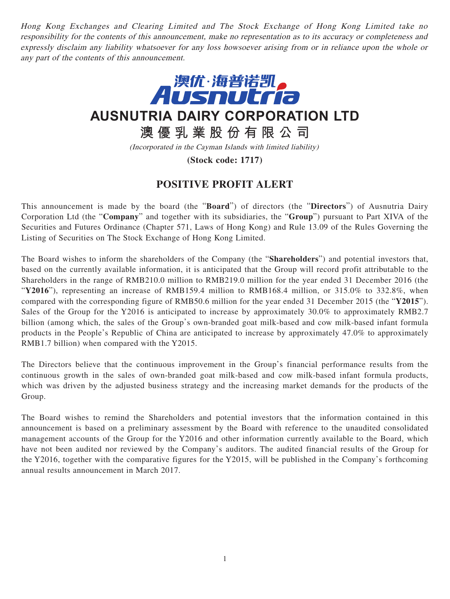Hong Kong Exchanges and Clearing Limited and The Stock Exchange of Hong Kong Limited take no responsibility for the contents of this announcement, make no representation as to its accuracy or completeness and expressly disclaim any liability whatsoever for any loss howsoever arising from or in reliance upon the whole or any part of the contents of this announcement.



**AUSNUTRIA DAIRY CORPORATION LTD**

**澳優乳業股份有限公司**

(Incorporated in the Cayman Islands with limited liability)

**(Stock code: 1717)**

## **POSITIVE PROFIT ALERT**

This announcement is made by the board (the "**Board**") of directors (the "**Directors**") of Ausnutria Dairy Corporation Ltd (the "**Company**" and together with its subsidiaries, the "**Group**") pursuant to Part XIVA of the Securities and Futures Ordinance (Chapter 571, Laws of Hong Kong) and Rule 13.09 of the Rules Governing the Listing of Securities on The Stock Exchange of Hong Kong Limited.

The Board wishes to inform the shareholders of the Company (the "**Shareholders**") and potential investors that, based on the currently available information, it is anticipated that the Group will record profit attributable to the Shareholders in the range of RMB210.0 million to RMB219.0 million for the year ended 31 December 2016 (the "**Y2016**"), representing an increase of RMB159.4 million to RMB168.4 million, or 315.0% to 332.8%, when compared with the corresponding figure of RMB50.6 million for the year ended 31 December 2015 (the "**Y2015**"). Sales of the Group for the Y2016 is anticipated to increase by approximately 30.0% to approximately RMB2.7 billion (among which, the sales of the Group's own-branded goat milk-based and cow milk-based infant formula products in the People's Republic of China are anticipated to increase by approximately 47.0% to approximately RMB1.7 billion) when compared with the Y2015.

The Directors believe that the continuous improvement in the Group's financial performance results from the continuous growth in the sales of own-branded goat milk-based and cow milk-based infant formula products, which was driven by the adjusted business strategy and the increasing market demands for the products of the Group.

The Board wishes to remind the Shareholders and potential investors that the information contained in this announcement is based on a preliminary assessment by the Board with reference to the unaudited consolidated management accounts of the Group for the Y2016 and other information currently available to the Board, which have not been audited nor reviewed by the Company's auditors. The audited financial results of the Group for the Y2016, together with the comparative figures for the Y2015, will be published in the Company's forthcoming annual results announcement in March 2017.